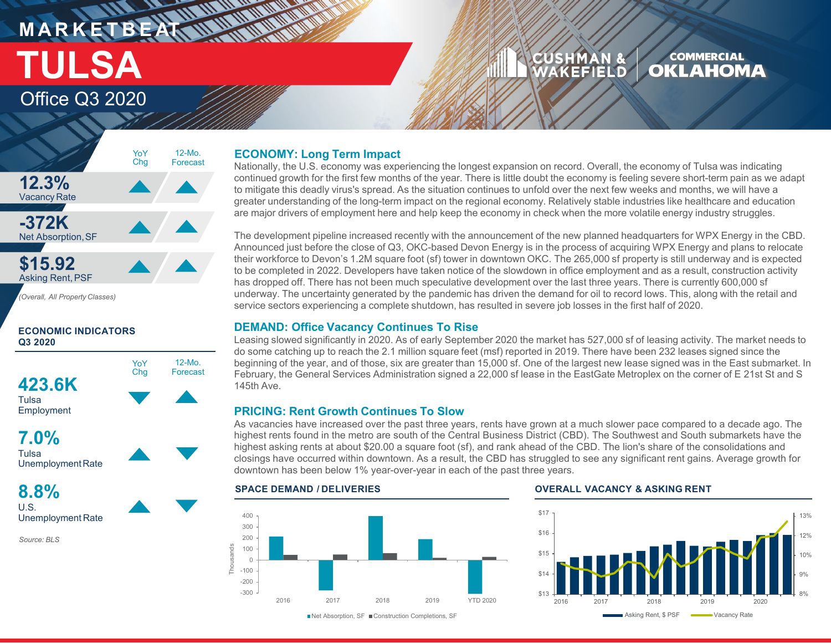# **MARKETBEATTING MARKET** Office Q3 2020 **TULSA**

#### CUSHMAN & **COMMERCIAL OKLAHOMA** WAKEFIELD

# **12.3%** Vacancy Rate **-372K Net Absorption, SF \$15.92** Asking Rent, PSF *(Overall, All Property Classes)* 12-Mo. Forecast YoY Chg

# **ECONOMIC INDICATORS Q3 2020**





**8.8%** U.S. Unemployment Rate

*Source: BLS*

# **ECONOMY: Long Term Impact**

Nationally, the U.S. economy was experiencing the longest expansion on record. Overall, the economy of Tulsa was indicating continued growth for the first few months of the year. There is little doubt the economy is feeling severe short-term pain as we adapt to mitigate this deadly virus's spread. As the situation continues to unfold over the next few weeks and months, we will have a greater understanding of the long-term impact on the regional economy. Relatively stable industries like healthcare and education are major drivers of employment here and help keep the economy in check when the more volatile energy industry struggles.

The development pipeline increased recently with the announcement of the new planned headquarters for WPX Energy in the CBD. Announced just before the close of Q3, OKC-based Devon Energy is in the process of acquiring WPX Energy and plans to relocate their workforce to Devon's 1.2M square foot (sf) tower in downtown OKC. The 265,000 sf property is still underway and is expected to be completed in 2022. Developers have taken notice of the slowdown in office employment and as a result, construction activity has dropped off. There has not been much speculative development over the last three years. There is currently 600,000 sf underway. The uncertainty generated by the pandemic has driven the demand for oil to record lows. This, along with the retail and service sectors experiencing a complete shutdown, has resulted in severe job losses in the first half of 2020.

# **DEMAND: Office Vacancy Continues To Rise**

Leasing slowed significantly in 2020. As of early September 2020 the market has 527,000 sf of leasing activity. The market needs to do some catching up to reach the 2.1 million square feet (msf) reported in 2019. There have been 232 leases signed since the beginning of the year, and of those, six are greater than 15,000 sf. One of the largest new lease signed was in the East submarket. In February, the General Services Administration signed a 22,000 sf lease in the EastGate Metroplex on the corner of E 21st St and S 145th Ave.

# **PRICING: Rent Growth Continues To Slow**

As vacancies have increased over the past three years, rents have grown at a much slower pace compared to a decade ago. The highest rents found in the metro are south of the Central Business District (CBD). The Southwest and South submarkets have the highest asking rents at about \$20.00 a square foot (sf), and rank ahead of the CBD. The lion's share of the consolidations and closings have occurred within downtown. As a result, the CBD has struggled to see any significant rent gains. Average growth for downtown has been below 1% year-over-year in each of the past three years.

### 400 300 200 Thousands Thousands 100 0 -100 -200 -300 2016 2017 2018 2019 YTD 2020

# **SPACE DEMAND / DELIVERIES OVERALL VACANCY & ASKING RENT**



■Net Absorption, SF ■ Construction Completions, SF